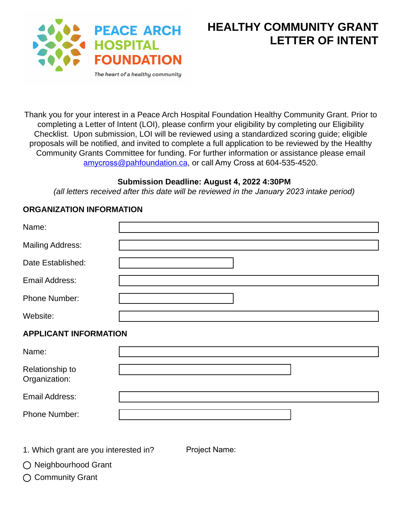

Thank you for your interest in a Peace Arch Hospital Foundation Healthy Community Grant. Prior to completing a Letter of Intent (LOI), please confirm your eligibility by completing our Eligibility Checklist. Upon submission, LOI will be reviewed using a standardized scoring guide; eligible proposals will be notified, and invited to complete a full application to be reviewed by the Healthy Community Grants Committee for funding. For further information or assistance please email amycross[@pahfoundation](mailto:ashley@pahfoundation.ca).ca, or call Amy Cross at 604-535-4520.

## **Submission Deadline: August 4, 2022 4:30PM**

*(all letters received after this date will be reviewed in the January 2023 intake period)* 

## **ORGANIZATION INFORMATION**

| Name:                            |  |  |
|----------------------------------|--|--|
| <b>Mailing Address:</b>          |  |  |
| Date Established:                |  |  |
| Email Address:                   |  |  |
| <b>Phone Number:</b>             |  |  |
| Website:                         |  |  |
| <b>APPLICANT INFORMATION</b>     |  |  |
|                                  |  |  |
| Name:                            |  |  |
| Relationship to<br>Organization: |  |  |
| Email Address:                   |  |  |

1. Which grant are you interested in?

Project Name:

◯ Neighbourhood Grant

◯ Community Grant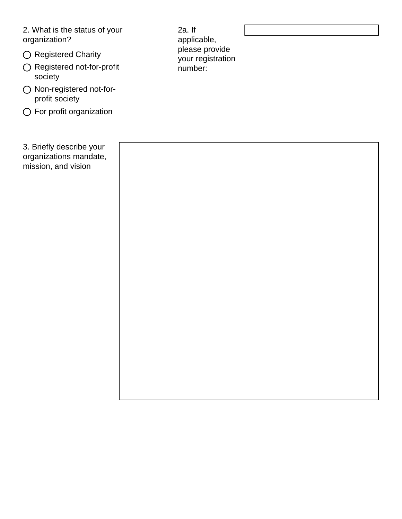2. What is the status of your organization?

- $\bigcirc$  Registered Charity
- Registered not-for-profit society
- Non-registered not-forprofit society
- For profit organization

3. Briefly describe your organizations mandate, mission, and vision

2a. If applicable, please provide your registration number: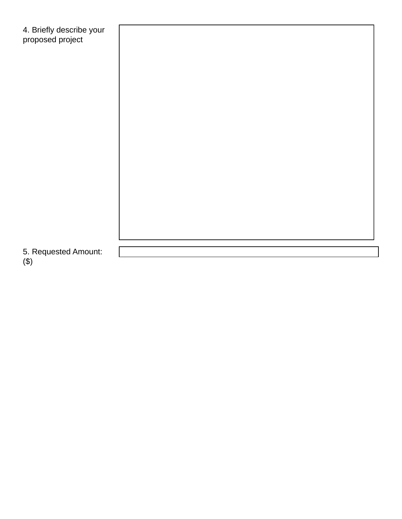| 4. Briefly describe your<br>proposed project |  |
|----------------------------------------------|--|
|                                              |  |
|                                              |  |
|                                              |  |
|                                              |  |
|                                              |  |
|                                              |  |
|                                              |  |
|                                              |  |
| 5. Requested Amount:                         |  |

(\$)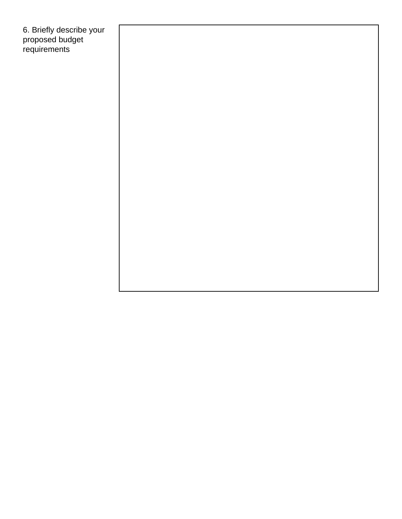6. Briefly describe your proposed budget requirements